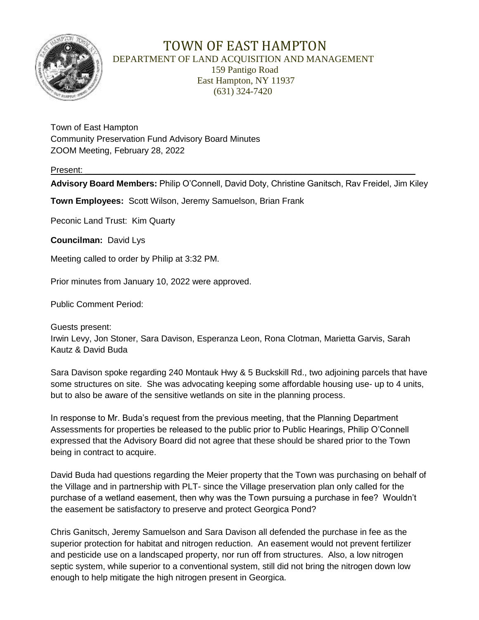

## TOWN OF EAST HAMPTON DEPARTMENT OF LAND ACQUISITION AND MANAGEMENT

 159 Pantigo Road East Hampton, NY 11937 (631) 324-7420

Town of East Hampton Community Preservation Fund Advisory Board Minutes ZOOM Meeting, February 28, 2022

## Present: \_\_\_\_\_\_\_\_\_\_\_\_\_\_\_\_\_\_\_\_\_\_\_\_\_\_\_\_\_\_\_\_\_\_\_\_\_\_\_\_\_\_\_\_\_\_\_\_\_\_\_\_\_\_\_\_\_\_\_\_\_\_\_\_\_\_\_\_\_

**Advisory Board Members:** Philip O'Connell, David Doty, Christine Ganitsch, Rav Freidel, Jim Kiley

**Town Employees:** Scott Wilson, Jeremy Samuelson, Brian Frank

Peconic Land Trust: Kim Quarty

**Councilman:** David Lys

Meeting called to order by Philip at 3:32 PM.

Prior minutes from January 10, 2022 were approved.

Public Comment Period:

Guests present: Irwin Levy, Jon Stoner, Sara Davison, Esperanza Leon, Rona Clotman, Marietta Garvis, Sarah Kautz & David Buda

Sara Davison spoke regarding 240 Montauk Hwy & 5 Buckskill Rd., two adjoining parcels that have some structures on site. She was advocating keeping some affordable housing use- up to 4 units, but to also be aware of the sensitive wetlands on site in the planning process.

In response to Mr. Buda's request from the previous meeting, that the Planning Department Assessments for properties be released to the public prior to Public Hearings, Philip O'Connell expressed that the Advisory Board did not agree that these should be shared prior to the Town being in contract to acquire.

David Buda had questions regarding the Meier property that the Town was purchasing on behalf of the Village and in partnership with PLT- since the Village preservation plan only called for the purchase of a wetland easement, then why was the Town pursuing a purchase in fee? Wouldn't the easement be satisfactory to preserve and protect Georgica Pond?

Chris Ganitsch, Jeremy Samuelson and Sara Davison all defended the purchase in fee as the superior protection for habitat and nitrogen reduction. An easement would not prevent fertilizer and pesticide use on a landscaped property, nor run off from structures. Also, a low nitrogen septic system, while superior to a conventional system, still did not bring the nitrogen down low enough to help mitigate the high nitrogen present in Georgica.